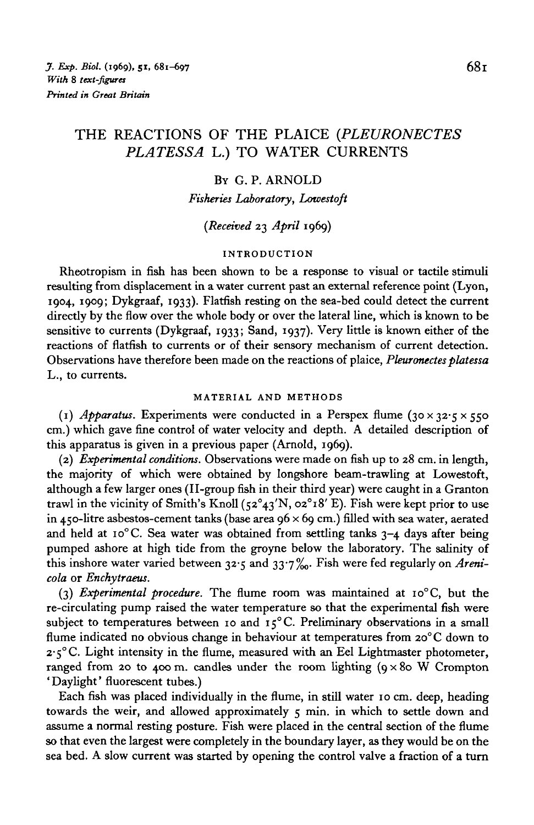# THE REACTIONS OF THE PLAICE *(PLEURONECTES PLATESSA* L.) TO WATER CURRENTS

## BY G. P. ARNOLD

*Fisheries Laboratory, Lowestoft*

## *(Received* 23 *April* 1969)

## **INTRODUCTION**

Rheotropism in fish has been shown to be a response to visual or tactile stimuli resulting from displacement in a water current past an external reference point (Lyon, 1904, 1909; Dykgraaf, 1933). Flatfish resting on the sea-bed could detect the current directly by the flow over the whole body or over the lateral line, which is known to be sensitive to currents (Dykgraaf, 1933; Sand, 1937). Very little is known either of the reactions of flatfish to currents or of their sensory mechanism of current detection. Observations have therefore been made on the reactions of plaice, *Pleuronectes platessa* L., to currents.

#### **MATERIAL AND METHODS**

(1) *Apparatus.* Experiments were conducted in a Perspex flume (30 x 32.5 x 550) cm.) which gave fine control of water velocity and depth. A detailed description of this apparatus is given in a previous paper (Arnold, 1969).

(2) *Experimental conditions.* Observations were made on fish up to 28 cm. in length, the majority of which were obtained by longshore beam-trawling at Lowestoft, although a few larger ones (II-group fish in their third year) were caught in a Granton trawl in the vicinity of Smith's Knoll  $(52^{\circ}43'N, 02^{\circ}18' E)$ . Fish were kept prior to use in 450-litre asbestos-cement tanks (base area  $96 \times 69$  cm.) filled with sea water, aerated and held at  $10^{\circ}$ C. Sea water was obtained from settling tanks  $3-4$  days after being pumped ashore at high tide from the groyne below the laboratory. The salinity of this inshore water varied between 32-5 and 33'7%o- Fish were fed regularly on *Arenicola* or *Enchytraeus.*

(3) *Experimental procedure.* The flume room was maintained at io°C, but the re-circulating pump raised the water temperature so that the experimental fish were subject to temperatures between 10 and  $15^{\circ}$ C. Preliminary observations in a small flume indicated no obvious change in behaviour at temperatures from 20°C down to  $2 \cdot 5$ °C. Light intensity in the flume, measured with an Eel Lightmaster photometer, ranged from 20 to 400 m. candles under the room lighting  $(9 \times 80 \text{ W}$  Crompton ' Daylight' fluorescent tubes.)

Each fish was placed individually in the flume, in still water 10 cm. deep, heading towards the weir, and allowed approximately 5 min. in which to settle down and assume a normal resting posture. Fish were placed in the central section of the flume so that even the largest were completely in the boundary layer, as they would be on the sea bed. A slow current was started by opening the control valve a fraction of a turn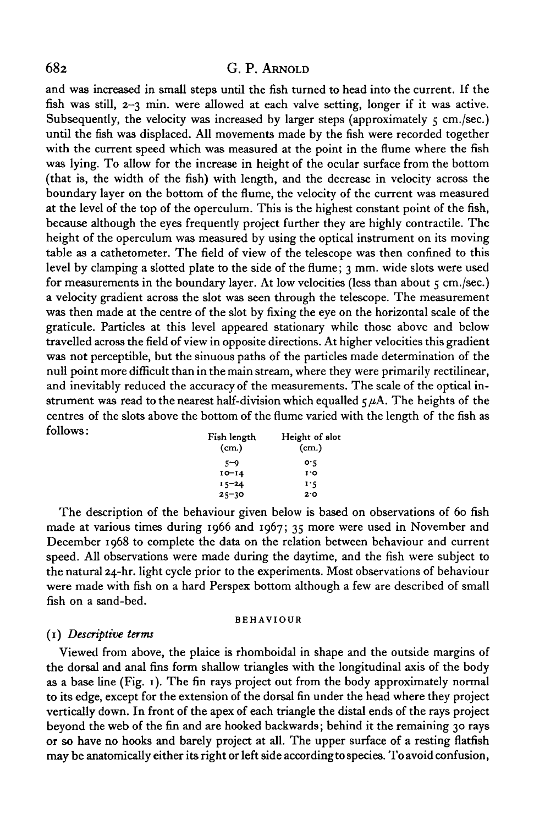and was increased in small steps until the fish turned to head into the current. If the fish was still, 2-3 min. were allowed at each valve setting, longer if it was active. Subsequently, the velocity was increased by larger steps (approximately  $\varsigma$  cm./sec.) until the fish was displaced. All movements made by the fish were recorded together with the current speed which was measured at the point in the flume where the fish was lying. To allow for the increase in height of the ocular surface from the bottom (that is, the width of the fish) with length, and the decrease in velocity across the boundary layer on the bottom of the flume, the velocity of the current was measured at the level of the top of the operculum. This is the highest constant point of the fish, because although the eyes frequently project further they are highly contractile. The height of the operculum was measured by using the optical instrument on its moving table as a cathetometer. The field of view of the telescope was then confined to this level by clamping a slotted plate to the side of the flume; 3 mm. wide slots were used for measurements in the boundary layer. At low velocities (less than about  $\varsigma$  cm./sec.) a velocity gradient across the slot was seen through the telescope. The measurement was then made at the centre of the slot by fixing the eye on the horizontal scale of the graticule. Particles at this level appeared stationary while those above and below travelled across the field of view in opposite directions. At higher velocities this gradient was not perceptible, but the sinuous paths of the particles made determination of the null point more difficult than in the main stream, where they were primarily rectilinear, and inevitably reduced the accuracy of the measurements. The scale of the optical instrument was read to the nearest half-division which equalled  $\zeta \mu A$ . The heights of the centres of the slots above the bottom of the flume varied with the length of the fish as follows: ". , . \_, TT , r 1

| Fish length | Height of slot |
|-------------|----------------|
| (cm.)       | (cm.)          |
| 5-9         | o٠ς            |
| $10 - 14$   | 1.O            |
| $15 - 24$   | 1.5            |
| $25 - 30$   | 20             |

**25-30 20** The description of the behaviour given below is based on observations of 60 fish made at various times during 1966 and 1967; 35 more were used in November and December 1968 to complete the data on the relation between behaviour and current speed. All observations were made during the daytime, and the fish were subject to the natural 24-hr. light cycle prior to the experiments. Most observations of behaviour the natural 24-hr, light cycle prior to the experiments. Most observations of behaviour were made with fish on a hard I erspex bottom although a few are described of small<br>Celega a could hel fish on a sand-bed.

#### **BEHAVIOUR**

#### (1) *Descriptive terms*

Viewed from above, the plaice is rhomboidal in shape and the outside margins of the dorsal and anal fins form shallow triangles with the longitudinal axis of the body as a base line (Fig. 1). The fin rays project out from the body approximately normal to its edge, except for the extension of the dorsal fin under the head where they project vertically down. In front of the apex of each triangle the distal ends of the rays project beyond the web of the fin and are hooked backwards; behind it the remaining 30 rays or so have no hooks and barely project at all. The upper surface of a resting flatfish may be anatomically either its right or left side according to species. To avoid confusion,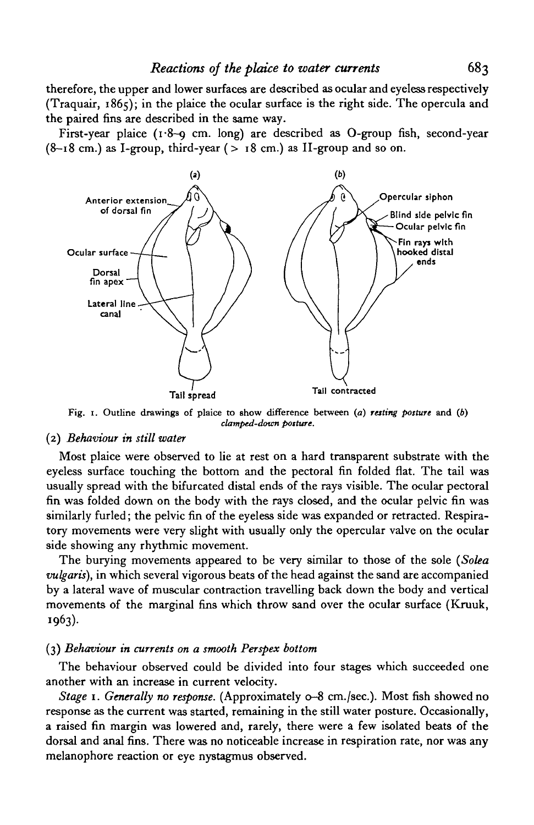therefore, the upper and lower surfaces are described as ocular and eyeless respectively (Traquair, 1865); in the plaice the ocular surface is the right side. The opercula and the paired fins are described in the same way.

First-year plaice (1.8-9 cm. long) are described as O-group fish, second-year  $(8-18$  cm.) as I-group, third-year ( $> 18$  cm.) as II-group and so on.



Fig. 1. Outline drawings of plaice to show difference between *(a) resting posture* and (6) *clampcd-dovm posture.*

#### (2) *Behaviour in still water*

Most plaice were observed to lie at rest on a hard transparent substrate with the eyeless surface touching the bottom and the pectoral fin folded flat. The tail was usually spread with the bifurcated distal ends of the rays visible. The ocular pectoral fin was folded down on the body with the rays closed, and the ocular pelvic fin was similarly furled; the pelvic fin of the eyeless side was expanded or retracted. Respiratory movements were very slight with usually only the opercular valve on the ocular side showing any rhythmic movement.

The burying movements appeared to be very similar to those of the sole *(Solea vulgaris),* in which several vigorous beats of the head against the sand are accompanied by a lateral wave of muscular contraction travelling back down the body and vertical movements of the marginal fins which throw sand over the ocular surface (Kruuk, 1963)-

## (3) *Behaviour in currents on a smooth Perspex bottom*

The behaviour observed could be divided into four stages which succeeded one another with an increase in current velocity.

*Stage* 1. *Generally no response.* (Approximately 0-8 cm./sec.). Most fish showed no response as the current was started, remaining in the still water posture. Occasionally, a raised fin margin was lowered and, rarely, there were a few isolated beats of the dorsal and anal fins. There was no noticeable increase in respiration rate, nor was any melanophore reaction or eye nystagmus observed.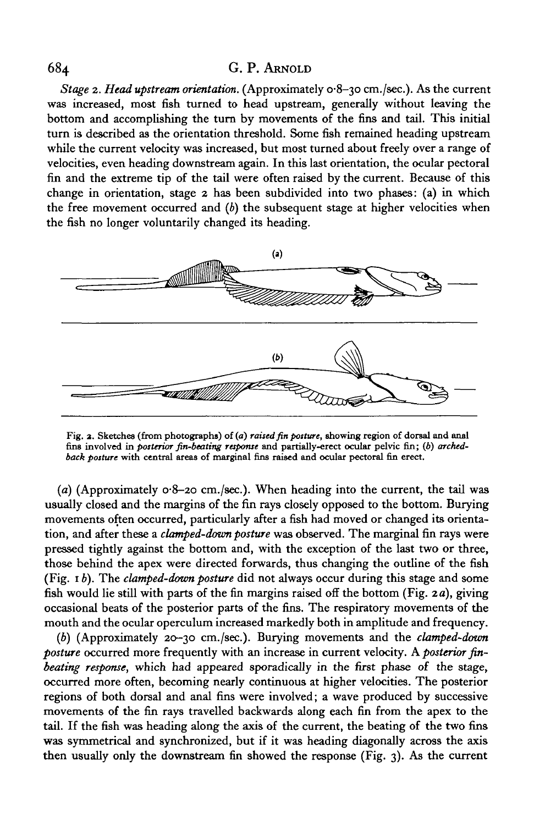*Stage* 2. *Head upstream orientation.* (Approximately 0-8-30 cm./sec.). As the current was increased, most fish turned to head upstream, generally without leaving the bottom and accomplishing the turn by movements of the fins and tail. This initial turn is described as the orientation threshold. Some fish remained heading upstream while the current velocity was increased, but most turned about freely over a range of velocities, even heading downstream again. In this last orientation, the ocular pectoral fin and the extreme tip of the tail were often raised by the current. Because of this change in orientation, stage 2 has been subdivided into two phases: (a) in which the free movement occurred and *(b)* the subsequent stage at higher velocities when the fish no longer voluntarily changed its heading.



**Fig. 2. Sketches (from photographs) of (a)** *raised fin posture,* **showing region of dorsal and anal fins involved in** *posterior fin-beating response* **and partially-erect ocular pelvic fin; (6)** *archedback posture* **with central areas of marginal fins raised and ocular pectoral fin erect.**

*(a)* (Approximately 0-8-20 cm./sec.). When heading into the current, the tail was usually closed and the margins of the fin rays closely opposed to the bottom. Burying movements often occurred, particularly after a fish had moved or changed its orientation, and after these a *clamped-dovm posture* was observed. The marginal fin rays were pressed tightly against the bottom and, with the exception of the last two or three, those behind the apex were directed forwards, thus changing the outline of the fish (Fig. *ib).* The *clamped-dovm posture* did not always occur during this stage and some fish would lie still with parts of the fin margins raised off the bottom (Fig. *2a),* giving occasional beats of the posterior parts of the fins. The respiratory movements of the mouth and the ocular operculum increased markedly both in amplitude and frequency.

*(b)* (Approximately 20-30 cm./sec.). Burying movements and the *clamped-dovm posture* occurred more frequently with an increase in current velocity. A *posterior finbeating response,* which had appeared sporadically in the first phase of the stage, occurred more often, becoming nearly continuous at higher velocities. The posterior regions of both dorsal and anal fins were involved; a wave produced by successive movements of the fin rays travelled backwards along each fin from the apex to the tail. If the fish was heading along the axis of the current, the beating of the two fins was symmetrical and synchronized, but if it was heading diagonally across the axis then usually only the downstream fin showed the response (Fig. 3). As the current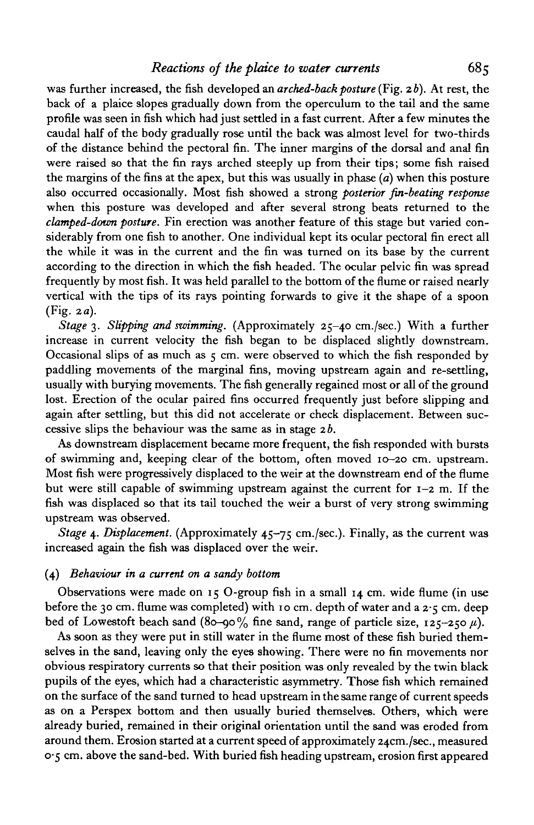was further increased, the fish developed an *arched-back posture* (Fig. 26). At rest, the back of a plaice slopes gradually down from the operculum to the tail and the same profile was seen in fish which had just settled in a fast current. After a few minutes the caudal half of the body gradually rose until the back was almost level for two-thirds of the distance behind the pectoral fin. The inner margins of the dorsal and anal fin were raised so that the fin rays arched steeply up from their tips; some fish raised the margins of the fins at the apex, but this was usually in phase *(a)* when this posture also occurred occasionally. Most fish showed a strong *posterior fin-beating response* when this posture was developed and after several strong beats returned to the *clamped-down posture.* Fin erection was another feature of this stage but varied considerably from one fish to another. One individual kept its ocular pectoral fin erect all the while it was in the current and the fin was turned on its base by the current according to the direction in which the fish headed. The ocular pelvic fin was spread frequently by most fish. It was held parallel to the bottom of the flume or raised nearly vertical with the tips of its rays pointing forwards to give it the shape of a spoon (Fig. *2a).*

*Stage 3. Slipping and swimming.* (Approximately 25-40 cm./sec.) With a further increase in current velocity the fish began to be displaced slightly downstream. Occasional slips of as much as  $5 \text{ cm}$ . were observed to which the fish responded by paddling movements of the marginal fins, moving upstream again and re-settling, usually with burying movements. The fish generally regained most or all of the ground lost. Erection of the ocular paired fins occurred frequently just before slipping and again after settling, but this did not accelerate or check displacement. Between successive slips the behaviour was the same as in stage *2b.*

As downstream displacement became more frequent, the fish responded with bursts of swimming and, keeping clear of the bottom, often moved 10-20 cm. upstream. Most fish were progressively displaced to the weir at the downstream end of the flume but were still capable of swimming upstream against the current for  $1-2$  m. If the fish was displaced so that its tail touched the weir a burst of very strong swimming upstream was observed.

*Stage* 4. *Displacement.* (Approximately 45-75 cm./sec). Finally, as the current was increased again the fish was displaced over the weir.

#### (4) *Behaviour in a current on a sandy bottom*

Observations were made on  $15$  O-group fish in a small  $14$  cm. wide flume (in use before the 30 cm. flume was completed) with 10 cm. depth of water and a 2.5 cm. deep bed of Lowestoft beach sand (80-90% fine sand, range of particle size,  $125-250 \mu$ ).

As soon as they were put in still water in the flume most of these fish buried themselves in the sand, leaving only the eyes showing. There were no fin movements nor obvious respiratory currents so that their position was only revealed by the twin black pupils of the eyes, which had a characteristic asymmetry. Those fish which remained on the surface of the sand turned to head upstream in the same range of current speeds as on a Perspex bottom and then usually buried themselves. Others, which were already buried, remained in their original orientation until the sand was eroded from around them. Erosion started at a current speed of approximately 24cm./sec., measured 0-5 cm. above the sand-bed. With buried fish heading upstream, erosion first appeared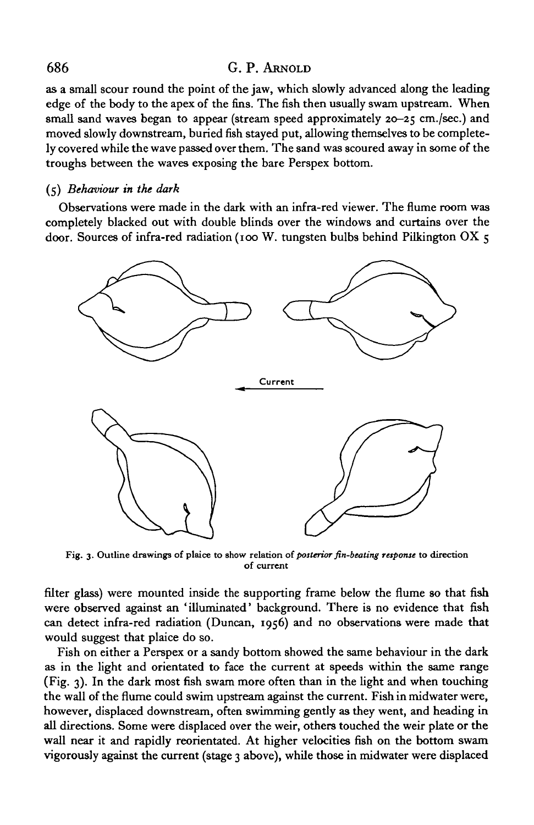as a small scour round the point of the jaw, which slowly advanced along the leading edge of the body to the apex of the fins. The fish then usually swam upstream. When small sand waves began to appear (stream speed approximately 20-25 cm./sec.) and moved slowly downstream, buried fish stayed put, allowing themselves to be completely covered while the wave passed over them. The sand was scoured away in some of the troughs between the waves exposing the bare Perspex bottom.

#### (5) *Behaviour in the dark*

Observations were made in the dark with an infra-red viewer. The flume room was completely blacked out with double blinds over the windows and curtains over the door. Sources of infra-red radiation (100 W. tungsten bulbs behind Pilkington OX 5



**Fig. 3. Outline drawings of plaice to show relation** *of posterior fin-beating response* **to direction of current**

filter glass) were mounted inside the supporting frame below the flume so that fish were observed against an 'illuminated' background. There is no evidence that fish can detect infra-red radiation (Duncan, 1956) and no observations were made that would suggest that plaice do so.

Fish on either a Perspex or a sandy bottom showed the same behaviour in the dark as in the light and orientated to face the current at speeds within the same range (Fig. 3). In the dark most fish swam more often than in the light and when touching the wall of the flume could swim upstream against the current. Fish in midwater were, however, displaced downstream, often swimming gently as they went, and heading in all directions. Some were displaced over the weir, others touched the weir plate or the wall near it and rapidly reorientated. At higher velocities fish on the bottom swam vigorously against the current (stage 3 above), while those in midwater were displaced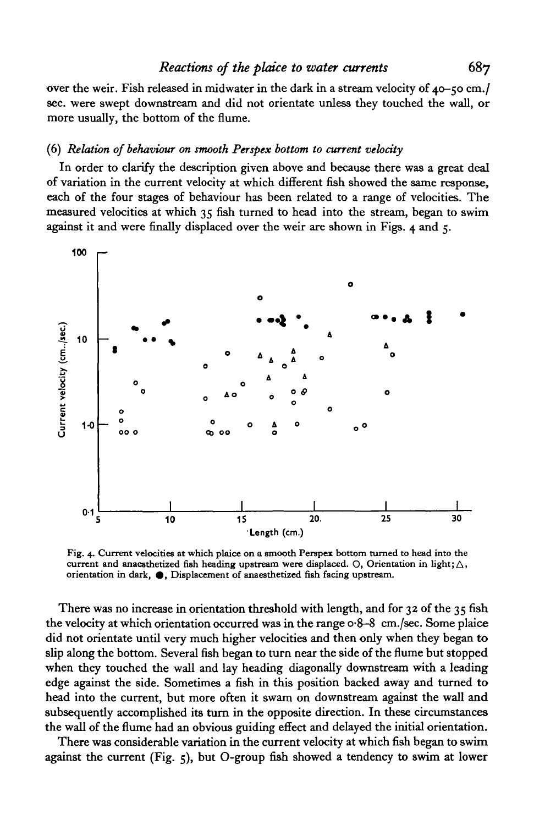over the weir. Fish released in midwater in the dark in a stream velocity of 40-50 cm./ sec. were swept downstream and did not orientate unless they touched the wall, or more usually, the bottom of the flume.

## (6) *Relation of behaviour on smooth Perspex bottom to current velocity*

In order to clarify the description given above and because there was a great deal of variation in the current velocity at which different fish showed the same response, each of the four stages of behaviour has been related to a range of velocities. The measured velocities at which 35 fish turned to head into the stream, began to swim against it and were finally displaced over the weir are shown in Figs. 4 and 5.



**Fig. 4. Current velocities at which plaice on a smooth Perspex bottom turned to head into the** current and anaesthetized fish heading upstream were displaced. O, Orientation in light;  $\triangle$ , orientation in dark,  $\bullet$ , Displacement of anaesthetized fish facing upstream.

There was no increase in orientation threshold with length, and for  $32$  of the  $35$  fish the velocity at which orientation occurred was in the range 0-8-8 cm./sec. Some plaice did not orientate until very much higher velocities and then only when they began to slip along the bottom. Several fish began to turn near the side of the flume but stopped when they touched the wall and lay heading diagonally downstream with a leading edge against the side. Sometimes a fish in this position backed away and turned to head into the current, but more often it swam on downstream against the wall and subsequently accomplished its turn in the opposite direction. In these circumstances the wall of the flume had an obvious guiding effect and delayed the initial orientation.

There was considerable variation in the current velocity at which fish began to swim against the current (Fig. 5), but O-group fish showed a tendency to swim at lower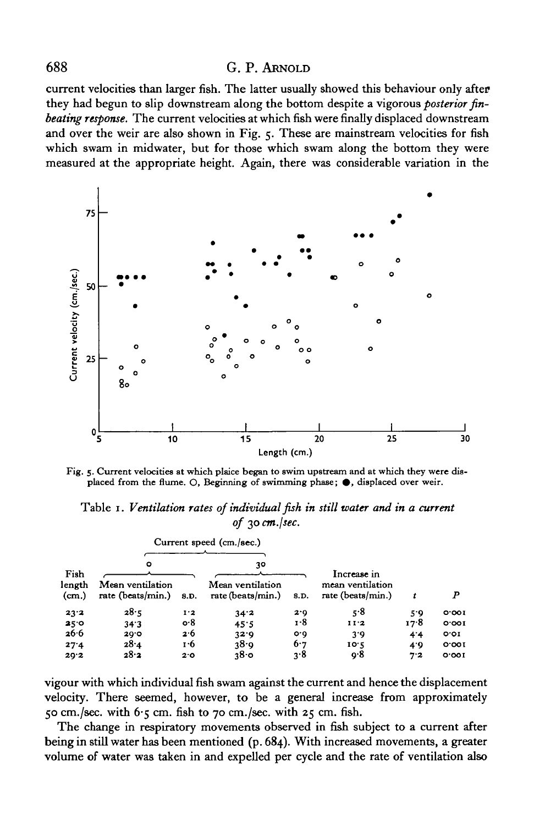current velocities than larger fish. The latter usually showed this behaviour only after they had begun to slip downstream along the bottom despite a vigorous *posterior finbeating response.* The current velocities at which fish were finally displaced downstream and over the weir are also shown in Fig. 5. These are mainstream velocities for fish which swam in midwater, but for those which swam along the bottom they were measured at the appropriate height. Again, there was considerable variation in the



Fig. 5. Current velocities at which plaice began to swim upstream and at which they were displaced from the flume. O, Beginning of swimming phase;  $\bullet$ , displaced over weir.

Table 1. *Ventilation rates of individual fish in still water and in a current of* 30 *cm.jsec.*

| Current speed (cm./sec.) |                                       |      |                                       |      |                                       |      |       |
|--------------------------|---------------------------------------|------|---------------------------------------|------|---------------------------------------|------|-------|
|                          |                                       |      |                                       |      |                                       |      |       |
| Fish                     | ۰                                     |      | 30                                    |      | Increase in                           |      |       |
| length<br>(cm.)          | Mean ventilation<br>rate (beats/min.) | 8.D. | Mean ventilation<br>rate (beats/min.) | 8.D. | mean ventilation<br>rate (beats/min.) |      | P     |
| 23.2                     | 28.5                                  | 1.2  | 34.2                                  | 2.0  | 5.8                                   | 5.9  | 0.001 |
| 25.0                     | 34.3                                  | o.8  | 45.5                                  | 1.8  | 11'2                                  | 17.8 | 0.001 |
| 26.6                     | 20.0                                  | 2.6  | 32.9                                  | O O  | 3.9                                   | 4.4  | O'OI  |
| 27.4                     | 28.4                                  | 1.6  | 38.9                                  | 6.7  | 10.5                                  | 4.9  | 0.001 |
| 20.2                     | 28.2                                  | 2.0  | 380                                   | 3.8  | o.8                                   | 7.2  | 0.001 |

vigour with which individual fish swam against the current and hence the displacement velocity. There seemed, however, to be a general increase from approximately 50 cm./sec. with  $6.5$  cm. fish to 70 cm./sec. with 25 cm. fish.

The change in respiratory movements observed in fish subject to a current after being in still water has been mentioned (p. 684). With increased movements, a greater volume of water was taken in and expelled per cycle and the rate of ventilation also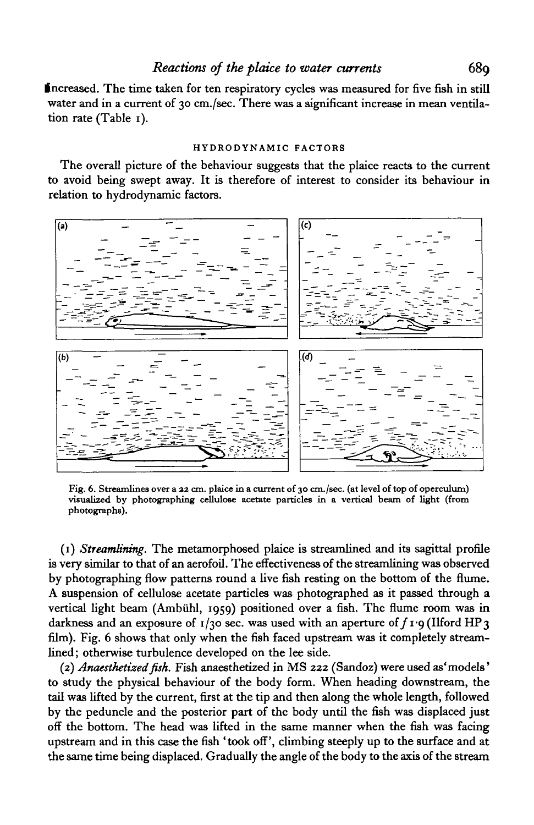Increased. The time taken for ten respiratory cycles was measured for five fish in still water and in a current of 30 cm./sec. There was a significant increase in mean ventilation rate (Table 1).

#### HYDRODYNAMIC FACTORS

The overall picture of the behaviour suggests that the plaice reacts to the current to avoid being swept away. It is therefore of interest to consider its behaviour in relation to hydrodynamic factors.



Fig. 6. Streamlines over a 32 cm. plaice in a current of 30 cm./sec. (at level of top of operculum) visualized by photographing cellulose acetate particles in a vertical beam of light (from photographs).

(1) *Streamlining.* The metamorphosed plaice is streamlined and its sagittal profile is very similar to that of an aerofoil. The effectiveness of the streamlining was observed by photographing flow patterns round a live fish resting on the bottom of the flume. A suspension of cellulose acetate particles was photographed as it passed through a vertical light beam (Ambiihl, 1959) positioned over a fish. The flume room was in darkness and an exposure of  $1/30$  sec. was used with an aperture of  $f_1$ -9 (Ilford HP 3) film). Fig. 6 shows that only when the fish faced upstream was it completely streamlined; otherwise turbulence developed on the lee side.

(2) *Anaesthetized fish.* Fish anaesthetized in MS 222 (Sandoz) were used as'models' to study the physical behaviour of the body form. When heading downstream, the tail was lifted by the current, first at the tip and then along the whole length, followed by the peduncle and the posterior part of the body until the fish was displaced just off the bottom. The head was lifted in the same manner when the fish was facing upstream and in this case the fish 'took off', climbing steeply up to the surface and at the same time being displaced. Gradually the angle of the body to the axis of the stream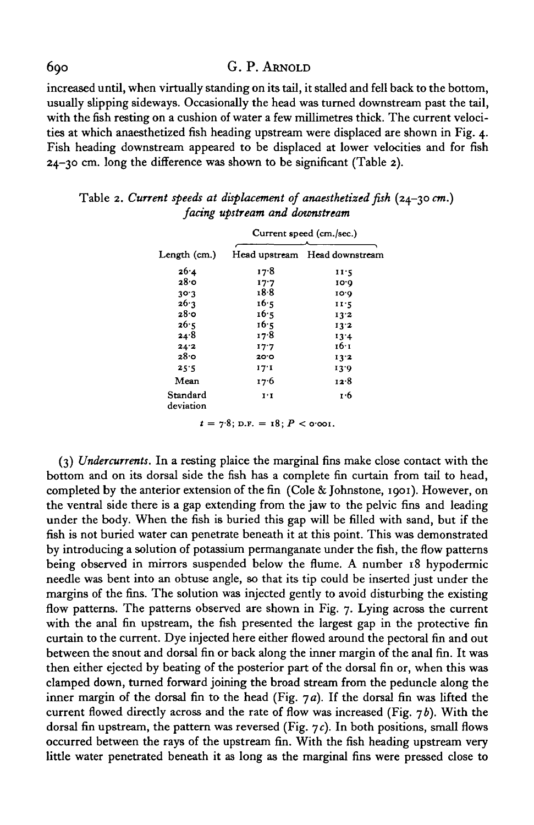increased until, when virtually standing on its tail, it stalled and fell back to the bottom, usually slipping sideways. Occasionally the head was turned downstream past the tail, with the fish resting on a cushion of water a few millimetres thick. The current velocities at which anaesthetized fish heading upstream were displaced are shown in Fig. 4. Fish heading downstream appeared to be displaced at lower velocities and for fish 24-30 cm. long the difference was shown to be significant (Table 2).

|                       | Current speed (cm./sec.)      |                               |  |  |
|-----------------------|-------------------------------|-------------------------------|--|--|
| Length (cm.)          |                               | Head upstream Head downstream |  |  |
| 26.4                  | 17.8                          | 11.5                          |  |  |
| 28.o                  | エフ・フ                          | 10.0                          |  |  |
| 30.3                  | 18.8                          | 10.0                          |  |  |
| 26.3                  | 16.5                          | 11.5                          |  |  |
| 28.0                  | 16.5                          | 13.2                          |  |  |
| 26.5                  | 16.5                          | 13.2                          |  |  |
| 24.8                  | 17.8                          | 13.4                          |  |  |
| 24.2                  | 17.7                          | 16∙1                          |  |  |
| 28.0                  | 20.0                          | 13.2                          |  |  |
| 25.5                  | 17.1                          | 13.9                          |  |  |
| Mean                  | 17.6                          | 12.8                          |  |  |
| Standard<br>deviation | $\mathbf{I} \cdot \mathbf{I}$ | 1.6                           |  |  |

|                                | Table 2. Current speeds at displacement of anaesthetized fish $(24-30$ cm.) |  |  |  |
|--------------------------------|-----------------------------------------------------------------------------|--|--|--|
| facing upstream and downstream |                                                                             |  |  |  |

 $t = 7.8$ ; D.F. = 18;  $P < \text{o}$   $\infty$ 0.

(3) *Undercurrents.* In a resting plaice the marginal fins make close contact with the bottom and on its dorsal side the fish has a complete fin curtain from tail to head, completed by the anterior extension of the fin (Cole & Johnstone, 1901). However, on the ventral side there is a gap extending from the jaw to the pelvic fins and leading under the body. When the fish is buried this gap will be filled with sand, but if the fish is not buried water can penetrate beneath it at this point. This was demonstrated by introducing a solution of potassium permanganate under the fish, the flow patterns being observed in mirrors suspended below the flume. A number 18 hypodermic needle was bent into an obtuse angle, so that its tip could be inserted just under the margins of the fins. The solution was injected gently to avoid disturbing the existing flow patterns. The patterns observed are shown in Fig. 7. Lying across the current with the anal fin upstream, the fish presented the largest gap in the protective fin curtain to the current. Dye injected here either flowed around the pectoral fin and out between the snout and dorsal fin or back along the inner margin of the anal fin. It was then either ejected by beating of the posterior part of the dorsal fin or, when this was clamped down, turned forward joining the broad stream from the peduncle along the inner margin of the dorsal fin to the head (Fig. *ja).* If the dorsal fin was lifted the current flowed directly across and the rate of flow was increased (Fig.  $7b$ ). With the dorsal fin upstream, the pattern was reversed (Fig. 7c). In both positions, small flows occurred between the rays of the upstream fin. With the fish heading upstream very little water penetrated beneath it as long as the marginal fins were pressed close to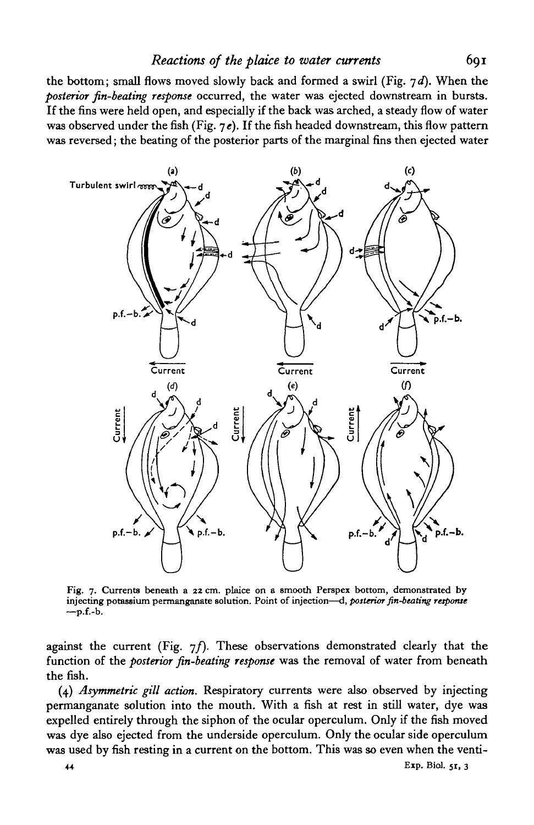the bottom; small flows moved slowly back and formed a swirl (Fig. 7 *d).* When the *posterior fin-beating response* occurred, the water was ejected downstream in bursts. If the fins were held open, and especially if the back was arched, a steady flow of water was observed under the fish (Fig.  $7e$ ). If the fish headed downstream, this flow pattern was reversed; the beating of the posterior parts of the marginal fins then ejected water



Fig. 7. Currents beneath a 22 cm. plaice on a smooth Perspex bottom, demonstrated by injecting potassium permanganate solution. Point of injection—d, *posterior fin-beating response*  $-p.f.-b.$ 

against the current (Fig.  $7f$ ). These observations demonstrated clearly that the function of the *posterior fin-beating response* was the removal of water from beneath the fish.

(4) *Asymmetric gill action.* Respiratory currents were also observed by injecting permanganate solution into the mouth. With a fish at rest in still water, dye was expelled entirely through the siphon of the ocular operculum. Only if the fish moved was dye also ejected from the underside operculum. Only the ocular side operculum was used by fish resting in a current on the bottom. This was so even when the venti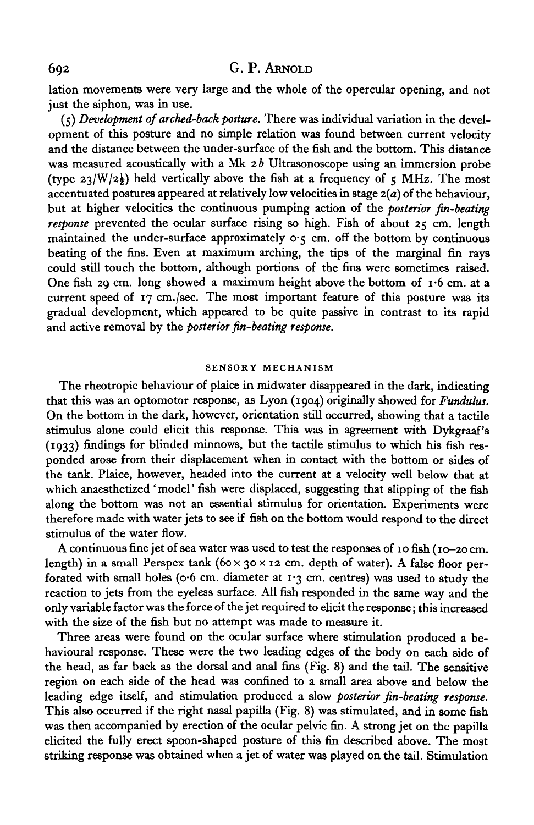lation movements were very large and the whole of the opercular opening, and not just the siphon, was in use.

(5) *Development of arched-back posture.* There was individual variation in the development of this posture and no simple relation was found between current velocity and the distance between the under-surface of the fish and the bottom. This distance was measured acoustically with a Mk 2b Ultrasonoscope using an immersion probe (type  $23/W/2\frac{1}{2}$ ) held vertically above the fish at a frequency of 5 MHz. The most accentuated postures appeared at relatively low velocities in stage *z{a)* of the behaviour, but at higher velocities the continuous pumping action of the *posterior fin-beating response* prevented the ocular surface rising so high. Fish of about 25 cm. length maintained the under-surface approximately  $\circ \circ$ ; cm. off the bottom by continuous beating of the fins. Even at maximum arching, the tips of the marginal fin rays could still touch the bottom, although portions of the fins were sometimes raised. One fish 29 cm. long showed a maximum height above the bottom of  $I<sup>6</sup>$  cm. at a current speed of 17 cm./sec. The most important feature of this posture was its gradual development, which appeared to be quite passive in contrast to its rapid and active removal by the *posterior fin-beating response.*

## **SENSORY MECHANISM**

The rheotropic behaviour of plaice in midwater disappeared in the dark, indicating that this was an optomotor response, as Lyon (1904) originally showed for *Fundulus.* On the bottom in the dark, however, orientation still occurred, showing that a tactile stimulus alone could elicit this response. This was in agreement with Dykgraaf's (1933) findings for blinded minnows, but the tactile stimulus to which his fish responded arose from their displacement when in contact with the bottom or sides of the tank. Plaice, however, headed into the current at a velocity well below that at which anaesthetized 'model' fish were displaced, suggesting that slipping of the fish along the bottom was not an essential stimulus for orientation. Experiments were therefore made with water jets to see if fish on the bottom would respond to the direct stimulus of the water flow.

A continuous fine jet of sea water was used to test the responses of 10 fish (10-20 cm. length) in a small Perspex tank  $(60 \times 30 \times 12 \text{ cm}$ . depth of water). A false floor perforated with small holes (o.6 cm. diameter at  $1.3$  cm. centres) was used to study the reaction to jets from the eyeless surface. All fish responded in the same way and the only variable factor was the force of the jet required to elicit the response; this increased with the size of the fish but no attempt was made to measure it.

Three areas were found on the ocular surface where stimulation produced a behavioural response. These were the two leading edges of the body on each side of the head, as far back as the dorsal and anal fins (Fig. 8) and the tail. The sensitive region on each side of the head was confined to a small area above and below the leading edge itself, and stimulation produced a slow *posterior fin-beating response.* This also occurred if the right nasal papilla (Fig. 8) was stimulated, and in some fish was then accompanied by erection of the ocular pelvic fin. A strong jet on the papilla elicited the fully erect spoon-shaped posture of this fin described above. The most striking response was obtained when a jet of water was played on the tail. Stimulation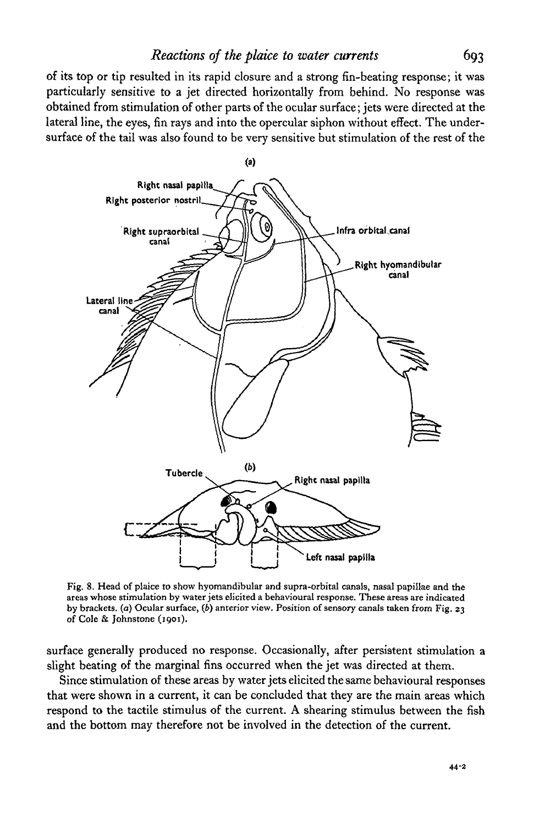of its top or tip resulted in its rapid closure and a strong fin-beating response; it was particularly sensitive to a jet directed horizontally from behind. No response was obtained from stimulation of other parts of the ocular surface; jets were directed at the lateral line, the eyes, fin rays and into the opercular siphon without effect. The undersurface of the tail was also found to be very sensitive but stimulation of the rest of the



Fig. 8. Head of plaice to show hyomandibular and supra-orbital canals, nasal papillae and the areas whose stimulation by water jets elicited a behavioural response. These areas are indicated by brackets, (a) Ocular surface, *(b)* anterior view. Position of sensory canals taken from Fig. 23 of Cole & Johnstone (1901).

surface generally produced no response. Occasionally, after persistent stimulation a slight beating of the marginal fins occurred when the jet was directed at them.

Since stimulation of these areas by water jets elicited the same behavioural responses that were shown in a current, it can be concluded that they are the main areas which respond to the tactile stimulus of the current. A shearing stimulus between the fish and the bottom may therefore not be involved in the detection of the current.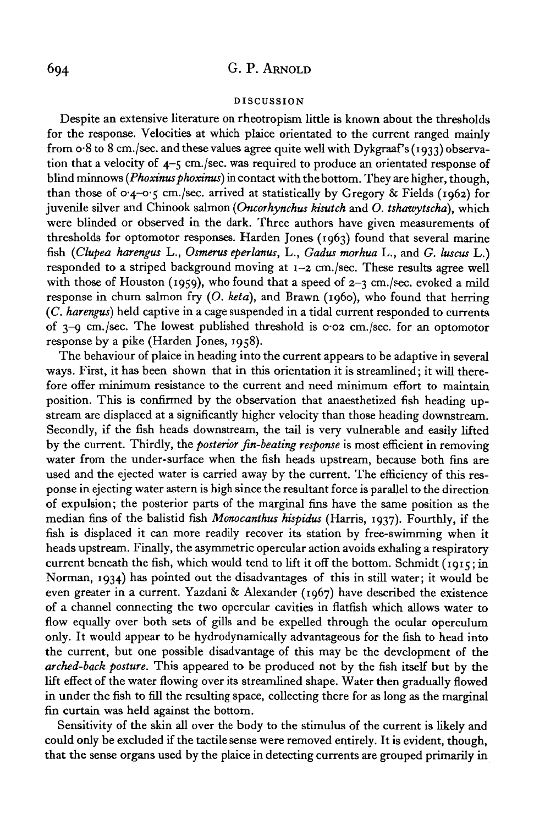#### DISCUSSION

Despite an extensive literature on rheotropism little is known about the thresholds for the response. Velocities at which plaice orientated to the current ranged mainly from  $\sigma$ -8 to 8 cm./sec. and these values agree quite well with Dykgraaf's (1933) observation that a velocity of 4-5 cm./sec. was required to produce an orientated response of blind minnows (*Phoxinus phoxinus*) in contact with the bottom. They are higher, though, than those of  $o_4$ - $o_5$  cm./sec. arrived at statistically by Gregory & Fields (1962) for juvenile silver and Chinook salmon *(Oncorhynchus kisutch* and *O. tshawytscha),* which were blinded or observed in the dark. Three authors have given measurements of thresholds for optomotor responses. Harden Jones (1963) found that several marine fish *(Clupea harengus* L., *Osmerus eperlanus,* L., *Gadus morhua* L., and *G. luscus* L.) responded to a striped background moving at 1-2 cm./sec. These results agree well with those of Houston (1959), who found that a speed of  $2-\gamma$  cm./sec. evoked a mild response in chum salmon fry (O. *keta),* and Brawn (i960), who found that herring *(C. harengus)* held captive in a cage suspended in a tidal current responded to currents of 3-9 cm./sec. The lowest published threshold is 0-02 cm./sec. for an optomotor response by a pike (Harden Jones, 1958).

The behaviour of plaice in heading into the current appears to be adaptive in several ways. First, it has been shown that in this orientation it is streamlined; it will therefore offer minimum resistance to the current and need minimum effort to maintain position. This is confirmed by the observation that anaesthetized fish heading upstream are displaced at a significantly higher velocity than those heading downstream. Secondly, if the fish heads downstream, the tail is very vulnerable and easily lifted by the current. Thirdly, the *posterior fin-beating response* is most efficient in removing water from the under-surface when the fish heads upstream, because both fins are used and the ejected water is carried away by the current. The efficiency of this response in ejecting water astern is high since the resultant force is parallel to the direction of expulsion; the posterior parts of the marginal fins have the same position as the median fins of the balistid fish *Monocanthus hispidus* (Harris, 1937). Fourthly, if the fish is displaced it can more readily recover its station by free-swimming when it heads upstream. Finally, the asymmetric opercular action avoids exhaling a respiratory current beneath the fish, which would tend to lift it off the bottom. Schmidt ( $1915$ ; in Norman, 1934) has pointed out the disadvantages of this in still water; it would be even greater in a current. Yazdani & Alexander (1967) have described the existence of a channel connecting the two opercular cavities in flatfish which allows water to flow equally over both sets of gills and be expelled through the ocular operculum only. It would appear to be hydrodynamically advantageous for the fish to head into the current, but one possible disadvantage of this may be the development of the *arched-back posture.* This appeared to be produced not by the fish itself but by the lift effect of the water flowing over its streamlined shape. Water then gradually flowed in under the fish to fill the resulting space, collecting there for as long as the marginal fin curtain was held against the bottom.

Sensitivity of the skin all over the body to the stimulus of the current is likely and could only be excluded if the tactile sense were removed entirely. It is evident, though, that the sense organs used by the plaice in detecting currents are grouped primarily in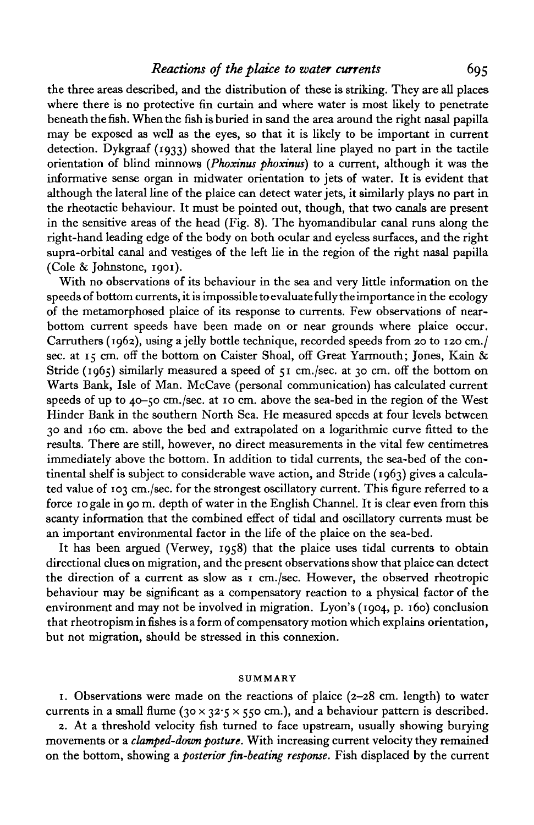the three areas described, and the distribution of these is striking. They are all places where there is no protective fin curtain and where water is most likely to penetrate beneath the fish. When the fish is buried in sand the area around the right nasal papilla may be exposed as well as the eyes, so that it is likely to be important in current detection. Dykgraaf (1933) showed that the lateral line played no part in the tactile orientation of blind minnows *(Phoxinus phoxinus)* to a current, although it was the informative sense organ in midwater orientation to jets of water. It is evident that although the lateral line of the plaice can detect water jets, it similarly plays no part in the rheotactic behaviour. It must be pointed out, though, that two canals are present in the sensitive areas of the head (Fig. 8). The hyomandibular canal runs along the right-hand leading edge of the body on both ocular and eyeless surfaces, and the right supra-orbital canal and vestiges of the left lie in the region of the right nasal papilla (Cole & Johnstone, 1901).

With no observations of its behaviour in the sea and very little information on the speeds of bottom currents, it is impossible to evaluate fully the importance in the ecology of the metamorphosed plaice of its response to currents. Few observations of nearbottom current speeds have been made on or near grounds where plaice occur. Carruthers (1962), using a jelly bottle technique, recorded speeds from 20 to 120 cm./ sec. at 15 cm. off the bottom on Caister Shoal, off Great Yarmouth; Jones, Kain & Stride (1965) similarly measured a speed of  $\tau_1$  cm./sec. at 30 cm. off the bottom on Warts Bank, Isle of Man. McCave (personal communication) has calculated current speeds of up to 40-50 cm./sec. at 10 cm. above the sea-bed in the region of the West Hinder Bank in the southern North Sea. He measured speeds at four levels between 30 and 160 cm. above the bed and extrapolated on a logarithmic curve fitted to the results. There are still, however, no direct measurements in the vital few centimetres immediately above the bottom. In addition to tidal currents, the sea-bed of the continental shelf is subject to considerable wave action, and Stride (1963) gives a calculated value of 103 cm./sec. for the strongest oscillatory current. This figure referred to a force 10 gale in 90 m. depth of water in the English Channel. It is clear even from this scanty information that the combined effect of tidal and oscillatory currents must be an important environmental factor in the life of the plaice on the sea-bed.

It has been argued (Verwey, 1958) that the plaice uses tidal currents to obtain directional clues on migration, and the present observations show that plaice can detect the direction of a current as slow as 1 cm./sec. However, the observed rheotropic behaviour may be significant as a compensatory reaction to a physical factor of the environment and may not be involved in migration. Lyon's (1904, p. 160) conclusion that rheotropism in fishes is a form of compensatory motion which explains orientation, but not migration, should be stressed in this connexion.

#### SUMMARY

1. Observations were made on the reactions of plaice (2-28 cm. length) to water currents in a small flume (30 x 32.5 x 550 cm.), and a behaviour pattern is described.

2. At a threshold velocity fish turned to face upstream, usually showing burying movements or a *clamped-down posture.* With increasing current velocity they remained on the bottom, showing a *posterior fin-beating response.* Fish displaced by the current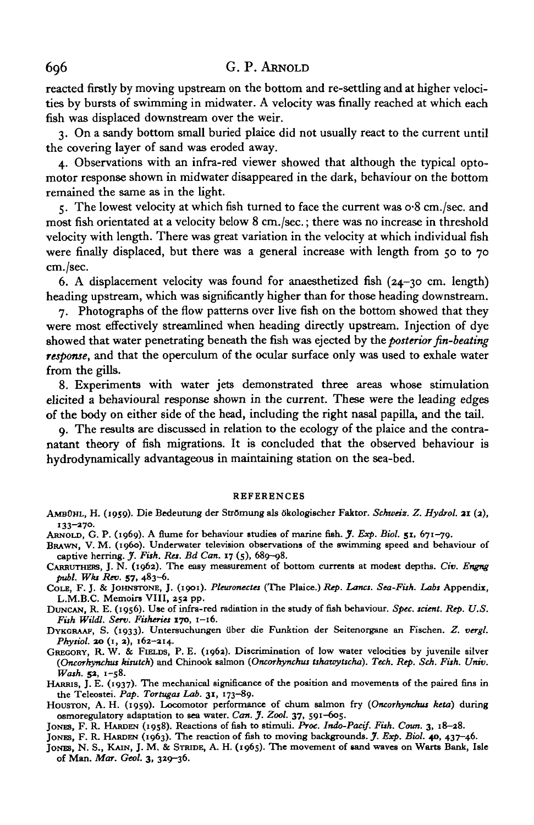reacted firstly by moving upstream on the bottom and re-settling and at higher velocities by bursts of swimming in midwater. A velocity was finally reached at which each fish was displaced downstream over the weir.

3. On a sandy bottom small buried plaice did not usually react to the current until the covering layer of sand was eroded away.

4. Observations with an infra-red viewer showed that although the typical optomotor response shown in midwater disappeared in the dark, behaviour on the bottom remained the same as in the light.

5. The lowest velocity at which fish turned to face the current was o-8 cm./sec. and most fish orientated at a velocity below 8 cm./sec.; there was no increase in threshold velocity with length. There was great variation in the velocity at which individual fish were finally displaced, but there was a general increase with length from  $50$  to  $70$ cm./sec.

6. A displacement velocity was found for an aesthetized fish  $(24-30 \text{ cm. length})$ heading upstream, which was significantly higher than for those heading downstream.

7. Photographs of the flow patterns over live fish on the bottom showed that they were most effectively streamlined when heading directly upstream. Injection of dye showed that water penetrating beneath the fish was ejected by the *posterior fin-beating response,* and that the operculum of the ocular surface only was used to exhale water from the gills.

8. Experiments with water jets demonstrated three areas whose stimulation elicited a behavioural response shown in the current. These were the leading edges of the body on either side of the head, including the right nasal papilla, and the tail.

9. The results are discussed in relation to the ecology of the plaice and the contranatant theory of fish migrations. It is concluded that the observed behaviour is hydrodynamically advantageous in maintaining station on the sea-bed.

#### **REFERENCES**

- AMBOHL, H. (1959). Die Bedeutung der Strömung als ökologischer Faktor. Schweiz. Z. Hydrol. 21 (2),
- 133–270.<br>ARNOLD, G. P. (1969). A flume for behaviour studies of marine fish. *J. Exp. Biol.* 51, 671–79.<br>BRAWN, V. M. (1960). Underwater television observations of the swimming speed and behaviour of
- **captive herring.** *J. Fish. Res. Bd Can.* **17 (5), 689-98. CARRUTHERS, J. N. (1962). The easy measurement of bottom currents at modest depths.** *Civ. Engng*
- 
- publ. Wks Rev. 57, 483–6.<br>COLE, F. J. & JOHNSTONE, J. (1901). Pleuronectes (The Plaice.) Rep. Lancs. Sea-Fish. Labs Appendix,<br>L.M.B.C. Memoirs VIII, 252 pp.<br>DUNCAN, R. E. (1956). Use of infra-red radiation in the study of
- 

*Fish Wildl. Sent. Fisheries* **170, 1-16. DYKGRAAF, S. (1933). Untereuchungen Uber die Funktion der Seitenorgane an Fischen.** *Z. vergl.*

- GREGORY, R. W. & FIELDS, P. E. (1962). Discrimination of low water velocities by juvenile silver (Oncorhynchus tissuich) and Chinook salmon (Oncorhynchus tissuich). Tech. Rep. Sch. Fish. Univ.
- Wash. 52, 1-58.<br>HARRIS, J. E. (1937). The mechanical significance of the position and movements of the paired fins in<br>the Teleostei. Pap. Tortugas Lab. 31, 173-89.<br>HOUSTON, A. H. (1959). Locomotor performance of chum salm
- 
- 
- JONES, F. R. HARDEN (1958). Reactions of fish to stimuli. *Proc. Indo-Pacif. Fish. Coun.* 3, 18–28.<br>JONES, F. R. HARDEN (1963). The reaction of fish to moving backgrounds. *J. Exp. Biol.* 40, 437–46.<br>JONES, N. S., KAIN, J.
- **of Man.** *Mar. Geol.* **3, 329-36.**